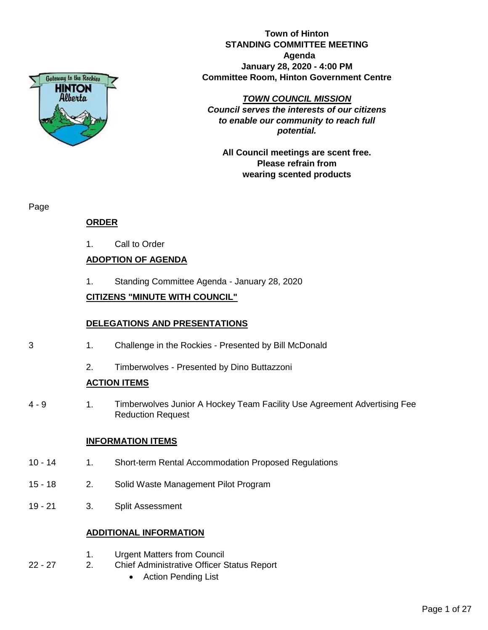

**Town of Hinton STANDING COMMITTEE MEETING Agenda January 28, 2020 - 4:00 PM Committee Room, Hinton Government Centre**

#### *TOWN COUNCIL MISSION*

*Council serves the interests of our citizens to enable our community to reach full potential.*

**All Council meetings are scent free. Please refrain from wearing scented products**

Page

# **ORDER**

1. Call to Order

# **ADOPTION OF AGENDA**

1. Standing Committee Agenda - January 28, 2020

# **CITIZENS "MINUTE WITH COUNCIL"**

# **DELEGATIONS AND PRESENTATIONS**

- 3 1. Challenge in the Rockies Presented by Bill McDonald
	- 2. Timberwolves Presented by Dino Buttazzoni

# **ACTION ITEMS**

4 - 9 1. Timberwolves Junior A Hockey Team Facility Use Agreement Advertising Fee Reduction Request

# **INFORMATION ITEMS**

- 10 14 1. Short-term Rental Accommodation Proposed Regulations
- 15 18 2. Solid Waste Management Pilot Program
- 19 21 3. Split Assessment

# **ADDITIONAL INFORMATION**

- 1. Urgent Matters from Council
- 22 27 2. Chief Administrative Officer Status Report
	- Action Pending List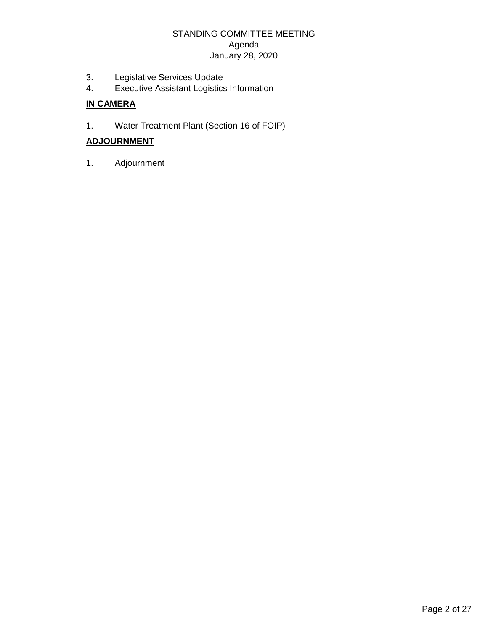# STANDING COMMITTEE MEETING Agenda January 28, 2020

- 3. Legislative Services Update<br>4. Executive Assistant Logistics
- 4. Executive Assistant Logistics Information

# **IN CAMERA**

1. Water Treatment Plant (Section 16 of FOIP)

# **ADJOURNMENT**

1. Adjournment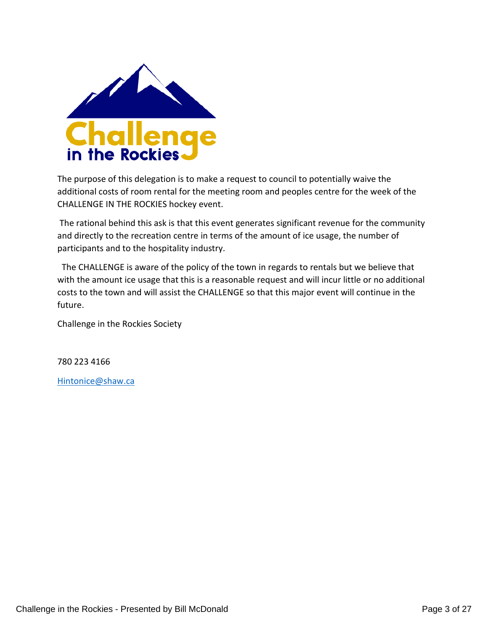

The purpose of this delegation is to make a request to council to potentially waive the additional costs of room rental for the meeting room and peoples centre for the week of the CHALLENGE IN THE ROCKIES hockey event.

The rational behind this ask is that this event generates significant revenue for the community and directly to the recreation centre in terms of the amount of ice usage, the number of participants and to the hospitality industry.

 The CHALLENGE is aware of the policy of the town in regards to rentals but we believe that with the amount ice usage that this is a reasonable request and will incur little or no additional costs to the town and will assist the CHALLENGE so that this major event will continue in the future.

Challenge in the Rockies Society

780 223 4166

[Hintonice@shaw.ca](mailto:Hintonice@shaw.ca)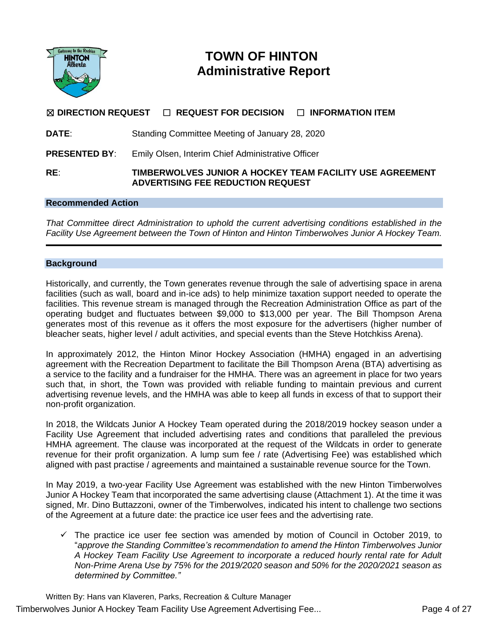

# **TOWN OF HINTON Administrative Report**

# ☒ **DIRECTION REQUEST** ☐ **REQUEST FOR DECISION** ☐ **INFORMATION ITEM**

| <b>DATE:</b> |  | Standing Committee Meeting of January 28, 2020 |  |
|--------------|--|------------------------------------------------|--|
|              |  |                                                |  |

**PRESENTED BY:** Emily Olsen, Interim Chief Administrative Officer

#### **RE**: **TIMBERWOLVES JUNIOR A HOCKEY TEAM FACILITY USE AGREEMENT ADVERTISING FEE REDUCTION REQUEST**

#### **Recommended Action**

*That Committee direct Administration to uphold the current advertising conditions established in the Facility Use Agreement between the Town of Hinton and Hinton Timberwolves Junior A Hockey Team.*

#### **Background**

Historically, and currently, the Town generates revenue through the sale of advertising space in arena facilities (such as wall, board and in-ice ads) to help minimize taxation support needed to operate the facilities. This revenue stream is managed through the Recreation Administration Office as part of the operating budget and fluctuates between \$9,000 to \$13,000 per year. The Bill Thompson Arena generates most of this revenue as it offers the most exposure for the advertisers (higher number of bleacher seats, higher level / adult activities, and special events than the Steve Hotchkiss Arena).

In approximately 2012, the Hinton Minor Hockey Association (HMHA) engaged in an advertising agreement with the Recreation Department to facilitate the Bill Thompson Arena (BTA) advertising as a service to the facility and a fundraiser for the HMHA. There was an agreement in place for two years such that, in short, the Town was provided with reliable funding to maintain previous and current advertising revenue levels, and the HMHA was able to keep all funds in excess of that to support their non-profit organization.

In 2018, the Wildcats Junior A Hockey Team operated during the 2018/2019 hockey season under a Facility Use Agreement that included advertising rates and conditions that paralleled the previous HMHA agreement. The clause was incorporated at the request of the Wildcats in order to generate revenue for their profit organization. A lump sum fee / rate (Advertising Fee) was established which aligned with past practise / agreements and maintained a sustainable revenue source for the Town.

In May 2019, a two-year Facility Use Agreement was established with the new Hinton Timberwolves Junior A Hockey Team that incorporated the same advertising clause (Attachment 1). At the time it was signed, Mr. Dino Buttazzoni, owner of the Timberwolves, indicated his intent to challenge two sections of the Agreement at a future date: the practice ice user fees and the advertising rate.

 $\checkmark$  The practice ice user fee section was amended by motion of Council in October 2019, to "*approve the Standing Committee's recommendation to amend the Hinton Timberwolves Junior A Hockey Team Facility Use Agreement to incorporate a reduced hourly rental rate for Adult Non-Prime Arena Use by 75% for the 2019/2020 season and 50% for the 2020/2021 season as determined by Committee."*

Written By: Hans van Klaveren, Parks, Recreation & Culture Manager Timberwolves Junior A Hockey Team Facility Use Agreement Advertising Fee... Page 4 of 27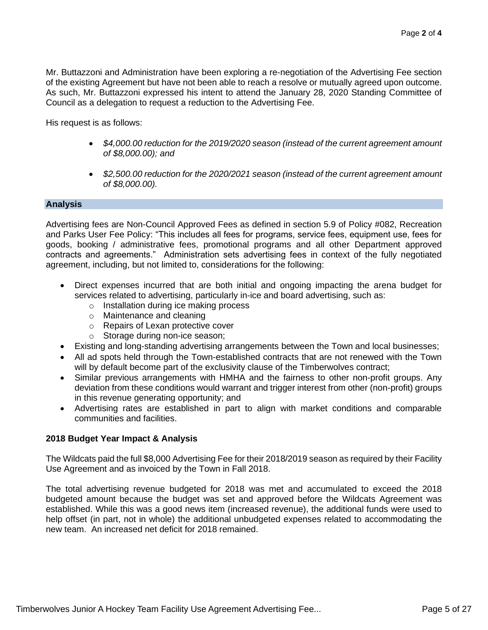Mr. Buttazzoni and Administration have been exploring a re-negotiation of the Advertising Fee section of the existing Agreement but have not been able to reach a resolve or mutually agreed upon outcome. As such, Mr. Buttazzoni expressed his intent to attend the January 28, 2020 Standing Committee of Council as a delegation to request a reduction to the Advertising Fee.

His request is as follows:

- *\$4,000.00 reduction for the 2019/2020 season (instead of the current agreement amount of \$8,000.00); and*
- *\$2,500.00 reduction for the 2020/2021 season (instead of the current agreement amount of \$8,000.00).*

#### **Analysis**

Advertising fees are Non-Council Approved Fees as defined in section 5.9 of Policy #082, Recreation and Parks User Fee Policy: "This includes all fees for programs, service fees, equipment use, fees for goods, booking / administrative fees, promotional programs and all other Department approved contracts and agreements." Administration sets advertising fees in context of the fully negotiated agreement, including, but not limited to, considerations for the following:

- Direct expenses incurred that are both initial and ongoing impacting the arena budget for services related to advertising, particularly in-ice and board advertising, such as:
	- o Installation during ice making process
	- o Maintenance and cleaning
	- o Repairs of Lexan protective cover
	- o Storage during non-ice season;
- Existing and long-standing advertising arrangements between the Town and local businesses;
- All ad spots held through the Town-established contracts that are not renewed with the Town will by default become part of the exclusivity clause of the Timberwolves contract;
- Similar previous arrangements with HMHA and the fairness to other non-profit groups. Any deviation from these conditions would warrant and trigger interest from other (non-profit) groups in this revenue generating opportunity; and
- Advertising rates are established in part to align with market conditions and comparable communities and facilities.

# **2018 Budget Year Impact & Analysis**

The Wildcats paid the full \$8,000 Advertising Fee for their 2018/2019 season as required by their Facility Use Agreement and as invoiced by the Town in Fall 2018.

The total advertising revenue budgeted for 2018 was met and accumulated to exceed the 2018 budgeted amount because the budget was set and approved before the Wildcats Agreement was established. While this was a good news item (increased revenue), the additional funds were used to help offset (in part, not in whole) the additional unbudgeted expenses related to accommodating the new team. An increased net deficit for 2018 remained.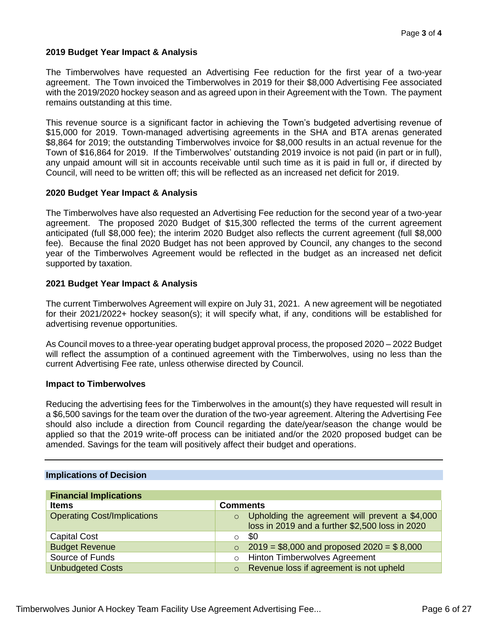# **2019 Budget Year Impact & Analysis**

The Timberwolves have requested an Advertising Fee reduction for the first year of a two-year agreement. The Town invoiced the Timberwolves in 2019 for their \$8,000 Advertising Fee associated with the 2019/2020 hockey season and as agreed upon in their Agreement with the Town. The payment remains outstanding at this time.

This revenue source is a significant factor in achieving the Town's budgeted advertising revenue of \$15,000 for 2019. Town-managed advertising agreements in the SHA and BTA arenas generated \$8,864 for 2019; the outstanding Timberwolves invoice for \$8,000 results in an actual revenue for the Town of \$16,864 for 2019. If the Timberwolves' outstanding 2019 invoice is not paid (in part or in full), any unpaid amount will sit in accounts receivable until such time as it is paid in full or, if directed by Council, will need to be written off; this will be reflected as an increased net deficit for 2019.

### **2020 Budget Year Impact & Analysis**

The Timberwolves have also requested an Advertising Fee reduction for the second year of a two-year agreement. The proposed 2020 Budget of \$15,300 reflected the terms of the current agreement anticipated (full \$8,000 fee); the interim 2020 Budget also reflects the current agreement (full \$8,000 fee). Because the final 2020 Budget has not been approved by Council, any changes to the second year of the Timberwolves Agreement would be reflected in the budget as an increased net deficit supported by taxation.

### **2021 Budget Year Impact & Analysis**

The current Timberwolves Agreement will expire on July 31, 2021. A new agreement will be negotiated for their 2021/2022+ hockey season(s); it will specify what, if any, conditions will be established for advertising revenue opportunities.

As Council moves to a three-year operating budget approval process, the proposed 2020 – 2022 Budget will reflect the assumption of a continued agreement with the Timberwolves, using no less than the current Advertising Fee rate, unless otherwise directed by Council.

#### **Impact to Timberwolves**

Reducing the advertising fees for the Timberwolves in the amount(s) they have requested will result in a \$6,500 savings for the team over the duration of the two-year agreement. Altering the Advertising Fee should also include a direction from Council regarding the date/year/season the change would be applied so that the 2019 write-off process can be initiated and/or the 2020 proposed budget can be amended. Savings for the team will positively affect their budget and operations.

### **Implications of Decision**

| <b>Financial Implications</b>      |                                                            |  |
|------------------------------------|------------------------------------------------------------|--|
| <b>Items</b>                       | <b>Comments</b>                                            |  |
| <b>Operating Cost/Implications</b> | Upholding the agreement will prevent a \$4,000<br>$\Omega$ |  |
|                                    | loss in 2019 and a further \$2,500 loss in 2020            |  |
| <b>Capital Cost</b>                | \$0<br>$\circ$                                             |  |
| <b>Budget Revenue</b>              | $2019 = $8,000$ and proposed $2020 = $8,000$<br>$\circ$    |  |
| Source of Funds                    | <b>Hinton Timberwolves Agreement</b><br>$\circ$            |  |
| <b>Unbudgeted Costs</b>            | Revenue loss if agreement is not upheld<br>$\circ$         |  |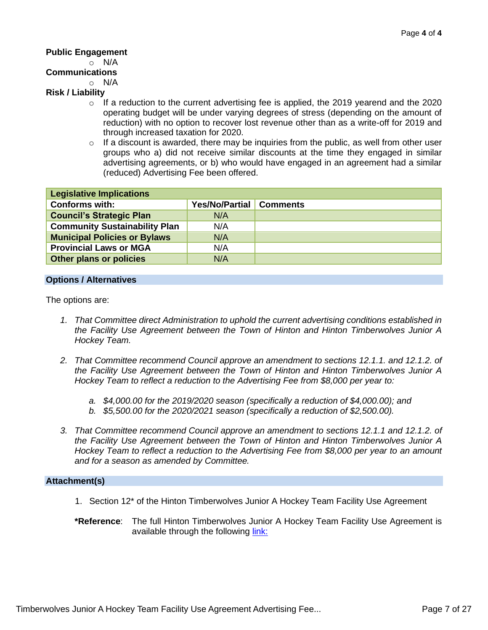### **Public Engagement**

# o N/A

# **Communications**

 $\circ$  N/A

# **Risk / Liability**

- $\circ$  If a reduction to the current advertising fee is applied, the 2019 yearend and the 2020 operating budget will be under varying degrees of stress (depending on the amount of reduction) with no option to recover lost revenue other than as a write-off for 2019 and through increased taxation for 2020.
- $\circ$  If a discount is awarded, there may be inquiries from the public, as well from other user groups who a) did not receive similar discounts at the time they engaged in similar advertising agreements, or b) who would have engaged in an agreement had a similar (reduced) Advertising Fee been offered.

| <b>Legislative Implications</b>      |                         |  |
|--------------------------------------|-------------------------|--|
| <b>Conforms with:</b>                | Yes/No/Partial Comments |  |
| <b>Council's Strategic Plan</b>      | N/A                     |  |
| <b>Community Sustainability Plan</b> | N/A                     |  |
| <b>Municipal Policies or Bylaws</b>  | N/A                     |  |
| <b>Provincial Laws or MGA</b>        | N/A                     |  |
| <b>Other plans or policies</b>       | N/A                     |  |

#### **Options / Alternatives**

The options are:

- *1. That Committee direct Administration to uphold the current advertising conditions established in the Facility Use Agreement between the Town of Hinton and Hinton Timberwolves Junior A Hockey Team.*
- *2. That Committee recommend Council approve an amendment to sections 12.1.1. and 12.1.2. of the Facility Use Agreement between the Town of Hinton and Hinton Timberwolves Junior A Hockey Team to reflect a reduction to the Advertising Fee from \$8,000 per year to:*
	- *a. \$4,000.00 for the 2019/2020 season (specifically a reduction of \$4,000.00); and*
	- *b. \$5,500.00 for the 2020/2021 season (specifically a reduction of \$2,500.00).*
- *3. That Committee recommend Council approve an amendment to sections 12.1.1 and 12.1.2. of the Facility Use Agreement between the Town of Hinton and Hinton Timberwolves Junior A Hockey Team to reflect a reduction to the Advertising Fee from \$8,000 per year to an amount and for a season as amended by Committee.*

#### **Attachment(s)**

- 1. Section 12\* of the Hinton Timberwolves Junior A Hockey Team Facility Use Agreement
- **\*Reference**: The full Hinton Timberwolves Junior A Hockey Team Facility Use Agreement is available through the following [link:](https://www.hinton.ca/DocumentCenter/View/8332/Timberwolves-Agreement-in-full-as-of-Dec-16-2019-amendment---for-link)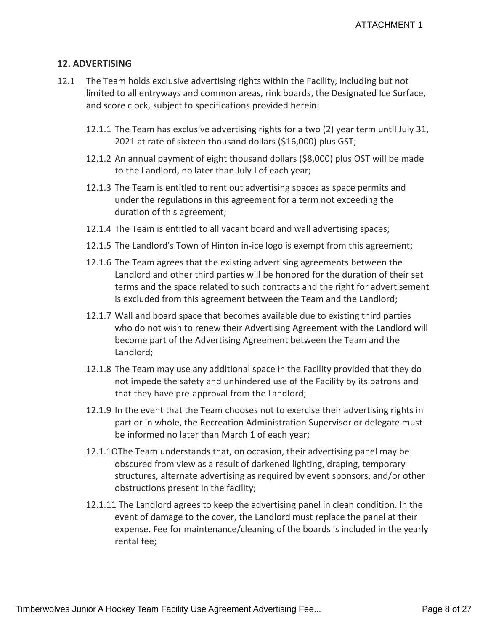# **12. ADVERTISING**

- 12.1 The Team holds exclusive advertising rights within the Facility, including but not limited to all entryways and common areas, rink boards, the Designated Ice Surface, and score clock, subject to specifications provided herein:
	- 12.1.1 The Team has exclusive advertising rights for a two (2) year term until July 31, 2021 at rate of sixteen thousand dollars (\$16,000) plus GST;
	- 12.1.2 An annual payment of eight thousand dollars (\$8,000) plus OST will be made to the Landlord, no later than July I of each year;
	- 12.1.3 The Team is entitled to rent out advertising spaces as space permits and under the regulations in this agreement for a term not exceeding the duration of this agreement;
	- 12.1.4 The Team is entitled to all vacant board and wall advertising spaces;
	- 12.1.5 The Landlord's Town of Hinton in-ice logo is exempt from this agreement;
	- 12.1.6 The Team agrees that the existing advertising agreements between the Landlord and other third parties will be honored for the duration of their set terms and the space related to such contracts and the right for advertisement is excluded from this agreement between the Team and the Landlord;
	- 12.1.7 Wall and board space that becomes available due to existing third parties who do not wish to renew their Advertising Agreement with the Landlord will become part of the Advertising Agreement between the Team and the Landlord;
	- 12.1.8 The Team may use any additional space in the Facility provided that they do not impede the safety and unhindered use of the Facility by its patrons and that they have pre-approval from the Landlord;
	- 12.1.9 In the event that the Team chooses not to exercise their advertising rights in part or in whole, the Recreation Administration Supervisor or delegate must be informed no later than March 1 of each year;
	- 12.1.1OThe Team understands that, on occasion, their advertising panel may be obscured from view as a result of darkened lighting, draping, temporary structures, alternate advertising as required by event sponsors, and/or other obstructions present in the facility;
	- 12.1.11 The Landlord agrees to keep the advertising panel in clean condition. In the event of damage to the cover, the Landlord must replace the panel at their expense. Fee for maintenance/cleaning of the boards is included in the yearly rental fee;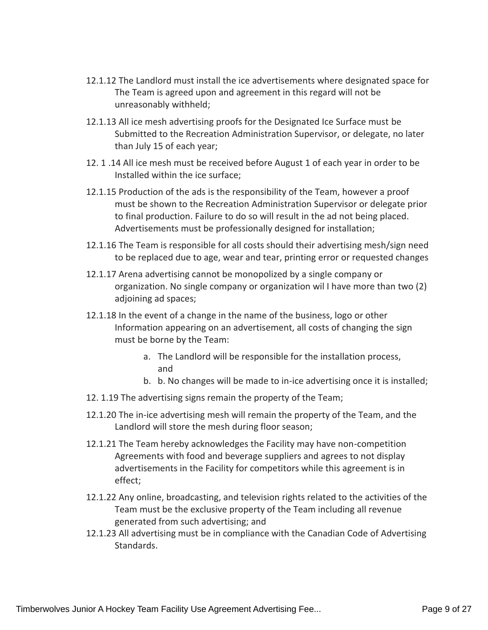- 12.1.12 The Landlord must install the ice advertisements where designated space for The Team is agreed upon and agreement in this regard will not be unreasonably withheld;
- 12.1.13 All ice mesh advertising proofs for the Designated Ice Surface must be Submitted to the Recreation Administration Supervisor, or delegate, no later than July 15 of each year;
- 12. 1 .14 All ice mesh must be received before August 1 of each year in order to be Installed within the ice surface;
- 12.1.15 Production of the ads is the responsibility of the Team, however a proof must be shown to the Recreation Administration Supervisor or delegate prior to final production. Failure to do so will result in the ad not being placed. Advertisements must be professionally designed for installation;
- 12.1.16 The Team is responsible for all costs should their advertising mesh/sign need to be replaced due to age, wear and tear, printing error or requested changes
- 12.1.17 Arena advertising cannot be monopolized by a single company or organization. No single company or organization wil I have more than two (2) adjoining ad spaces;
- 12.1.18 In the event of a change in the name of the business, logo or other Information appearing on an advertisement, all costs of changing the sign must be borne by the Team:
	- a. The Landlord will be responsible for the installation process, and
	- b. b. No changes will be made to in-ice advertising once it is installed;
- 12. 1.19 The advertising signs remain the property of the Team;
- 12.1.20 The in-ice advertising mesh will remain the property of the Team, and the Landlord will store the mesh during floor season;
- 12.1.21 The Team hereby acknowledges the Facility may have non-competition Agreements with food and beverage suppliers and agrees to not display advertisements in the Facility for competitors while this agreement is in effect;
- 12.1.22 Any online, broadcasting, and television rights related to the activities of the Team must be the exclusive property of the Team including all revenue generated from such advertising; and
- 12.1.23 All advertising must be in compliance with the Canadian Code of Advertising Standards.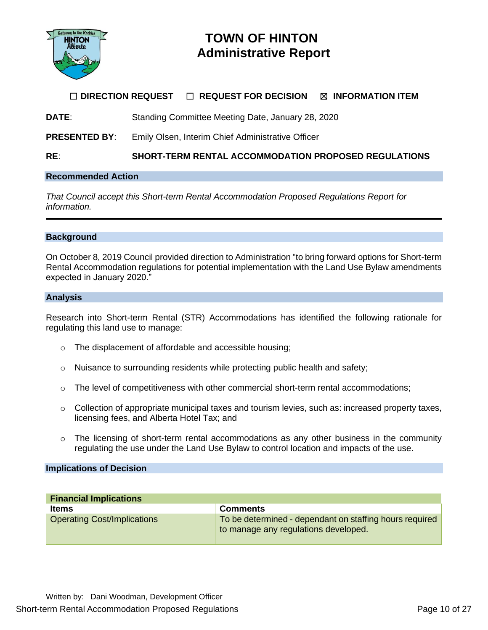

# **TOWN OF HINTON Administrative Report**

# ☐ **DIRECTION REQUEST** ☐ **REQUEST FOR DECISION** ☒ **INFORMATION ITEM**

**DATE**: Standing Committee Meeting Date, January 28, 2020

**PRESENTED BY:** Emily Olsen, Interim Chief Administrative Officer

**RE**: **SHORT-TERM RENTAL ACCOMMODATION PROPOSED REGULATIONS**

### **Recommended Action**

*That Council accept this Short-term Rental Accommodation Proposed Regulations Report for information.*

#### **Background**

On October 8, 2019 Council provided direction to Administration "to bring forward options for Short-term Rental Accommodation regulations for potential implementation with the Land Use Bylaw amendments expected in January 2020."

#### **Analysis**

Research into Short-term Rental (STR) Accommodations has identified the following rationale for regulating this land use to manage:

- o The displacement of affordable and accessible housing;
- $\circ$  Nuisance to surrounding residents while protecting public health and safety;
- $\circ$  The level of competitiveness with other commercial short-term rental accommodations;
- $\circ$  Collection of appropriate municipal taxes and tourism levies, such as: increased property taxes, licensing fees, and Alberta Hotel Tax; and
- $\circ$  The licensing of short-term rental accommodations as any other business in the community regulating the use under the Land Use Bylaw to control location and impacts of the use.

#### **Implications of Decision**

| <b>Financial Implications</b>      |                                                                                                 |
|------------------------------------|-------------------------------------------------------------------------------------------------|
| <b>Items</b>                       | <b>Comments</b>                                                                                 |
| <b>Operating Cost/Implications</b> | To be determined - dependant on staffing hours required<br>to manage any regulations developed. |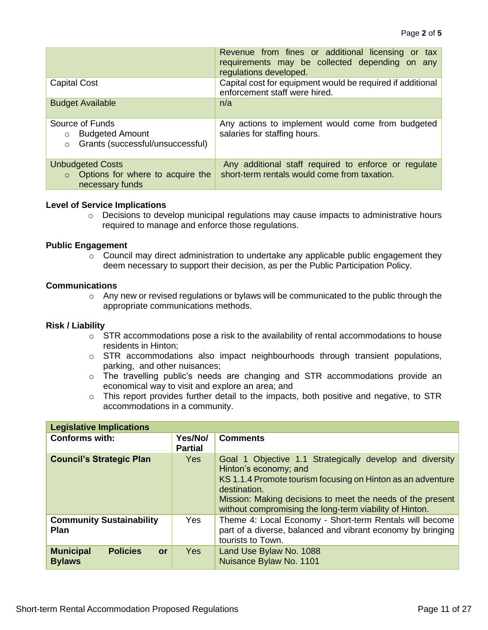|                                                                                                     | Revenue from fines or additional licensing or tax<br>requirements may be collected depending on any<br>regulations developed. |
|-----------------------------------------------------------------------------------------------------|-------------------------------------------------------------------------------------------------------------------------------|
| <b>Capital Cost</b>                                                                                 | Capital cost for equipment would be required if additional<br>enforcement staff were hired.                                   |
| <b>Budget Available</b>                                                                             | n/a                                                                                                                           |
| Source of Funds<br><b>Budgeted Amount</b><br>$\circ$<br>Grants (successful/unsuccessful)<br>$\circ$ | Any actions to implement would come from budgeted<br>salaries for staffing hours.                                             |
| <b>Unbudgeted Costs</b><br>Options for where to acquire the<br>$\Omega$<br>necessary funds          | Any additional staff required to enforce or regulate<br>short-term rentals would come from taxation.                          |

# **Level of Service Implications**

 $\circ$  Decisions to develop municipal regulations may cause impacts to administrative hours required to manage and enforce those regulations.

### **Public Engagement**

 $\circ$  Council may direct administration to undertake any applicable public engagement they deem necessary to support their decision, as per the Public Participation Policy.

### **Communications**

o Any new or revised regulations or bylaws will be communicated to the public through the appropriate communications methods.

#### **Risk / Liability**

- $\circ$  STR accommodations pose a risk to the availability of rental accommodations to house residents in Hinton;
- $\circ$  STR accommodations also impact neighbourhoods through transient populations, parking, and other nuisances;
- o The travelling public's needs are changing and STR accommodations provide an economical way to visit and explore an area; and
- o This report provides further detail to the impacts, both positive and negative, to STR accommodations in a community.

| <b>Legislative Implications</b>                                   |                           |                                                                                                                                                                                                                                                                                           |
|-------------------------------------------------------------------|---------------------------|-------------------------------------------------------------------------------------------------------------------------------------------------------------------------------------------------------------------------------------------------------------------------------------------|
| <b>Conforms with:</b>                                             | Yes/No/<br><b>Partial</b> | <b>Comments</b>                                                                                                                                                                                                                                                                           |
| <b>Council's Strategic Plan</b>                                   | <b>Yes</b>                | Goal 1 Objective 1.1 Strategically develop and diversity<br>Hinton's economy; and<br>KS 1.1.4 Promote tourism focusing on Hinton as an adventure<br>destination.<br>Mission: Making decisions to meet the needs of the present<br>without compromising the long-term viability of Hinton. |
| <b>Community Sustainability</b><br><b>Plan</b>                    | <b>Yes</b>                | Theme 4: Local Economy - Short-term Rentals will become<br>part of a diverse, balanced and vibrant economy by bringing<br>tourists to Town.                                                                                                                                               |
| <b>Policies</b><br><b>Municipal</b><br><b>or</b><br><b>Bylaws</b> | <b>Yes</b>                | Land Use Bylaw No. 1088<br>Nuisance Bylaw No. 1101                                                                                                                                                                                                                                        |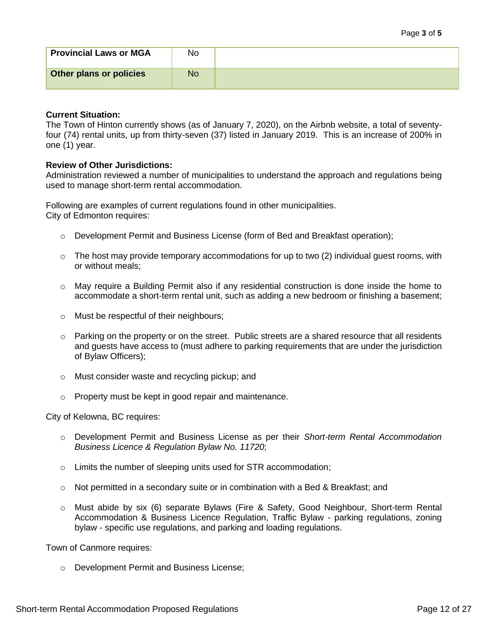| Short-term Rental Accommodation Proposed Regulations | Page 12 of 27 |
|------------------------------------------------------|---------------|
|                                                      |               |

| <b>Provincial Laws or MGA</b> | No |  |
|-------------------------------|----|--|
| Other plans or policies       | No |  |

### **Current Situation:**

The Town of Hinton currently shows (as of January 7, 2020), on the Airbnb website, a total of seventyfour (74) rental units, up from thirty-seven (37) listed in January 2019. This is an increase of 200% in one (1) year.

### **Review of Other Jurisdictions:**

Administration reviewed a number of municipalities to understand the approach and regulations being used to manage short-term rental accommodation.

Following are examples of current regulations found in other municipalities. City of Edmonton requires:

- o Development Permit and Business License (form of Bed and Breakfast operation);
- $\circ$  The host may provide temporary accommodations for up to two (2) individual quest rooms, with or without meals;
- $\circ$  May require a Building Permit also if any residential construction is done inside the home to accommodate a short-term rental unit, such as adding a new bedroom or finishing a basement;
- o Must be respectful of their neighbours;
- o Parking on the property or on the street. Public streets are a shared resource that all residents and guests have access to (must adhere to parking requirements that are under the jurisdiction of Bylaw Officers);
- o Must consider waste and recycling pickup; and
- o Property must be kept in good repair and maintenance.

City of Kelowna, BC requires:

- o Development Permit and Business License as per their *Short-term Rental Accommodation Business Licence & Regulation Bylaw No. 11720*;
- o Limits the number of sleeping units used for STR accommodation;
- $\circ$  Not permitted in a secondary suite or in combination with a Bed & Breakfast; and
- o Must abide by six (6) separate Bylaws (Fire & Safety, Good Neighbour, Short-term Rental Accommodation & Business Licence Regulation, Traffic Bylaw - parking regulations, zoning bylaw - specific use regulations, and parking and loading regulations.

Town of Canmore requires:

o Development Permit and Business License;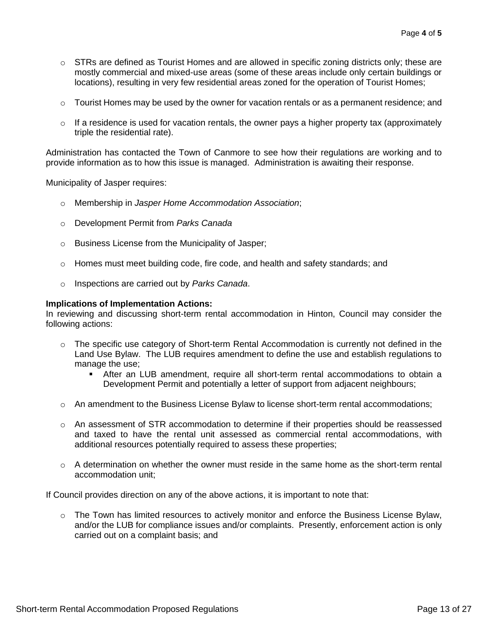- $\circ$  STRs are defined as Tourist Homes and are allowed in specific zoning districts only; these are mostly commercial and mixed-use areas (some of these areas include only certain buildings or locations), resulting in very few residential areas zoned for the operation of Tourist Homes;
- $\circ$  Tourist Homes may be used by the owner for vacation rentals or as a permanent residence; and
- $\circ$  If a residence is used for vacation rentals, the owner pays a higher property tax (approximately triple the residential rate).

Administration has contacted the Town of Canmore to see how their regulations are working and to provide information as to how this issue is managed. Administration is awaiting their response.

Municipality of Jasper requires:

- o Membership in *Jasper Home Accommodation Association*;
- o Development Permit from *Parks Canada*
- o Business License from the Municipality of Jasper;
- o Homes must meet building code, fire code, and health and safety standards; and
- o Inspections are carried out by *Parks Canada*.

#### **Implications of Implementation Actions:**

In reviewing and discussing short-term rental accommodation in Hinton, Council may consider the following actions:

- $\circ$  The specific use category of Short-term Rental Accommodation is currently not defined in the Land Use Bylaw. The LUB requires amendment to define the use and establish regulations to manage the use:
	- After an LUB amendment, require all short-term rental accommodations to obtain a Development Permit and potentially a letter of support from adjacent neighbours;
- $\circ$  An amendment to the Business License Bylaw to license short-term rental accommodations;
- o An assessment of STR accommodation to determine if their properties should be reassessed and taxed to have the rental unit assessed as commercial rental accommodations, with additional resources potentially required to assess these properties;
- o A determination on whether the owner must reside in the same home as the short-term rental accommodation unit;

If Council provides direction on any of the above actions, it is important to note that:

 $\circ$  The Town has limited resources to actively monitor and enforce the Business License Bylaw, and/or the LUB for compliance issues and/or complaints. Presently, enforcement action is only carried out on a complaint basis; and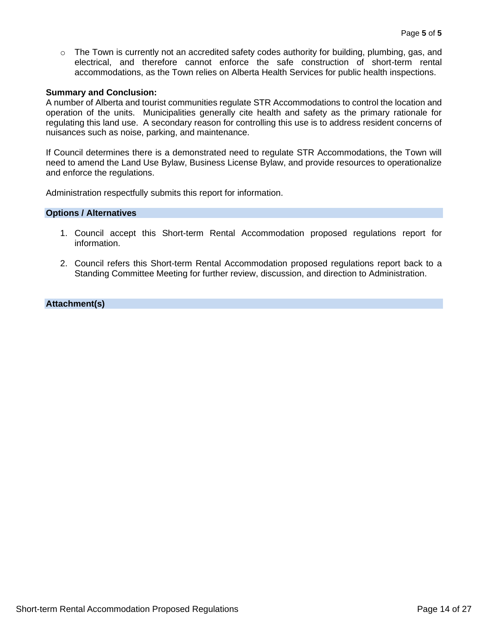$\circ$  The Town is currently not an accredited safety codes authority for building, plumbing, gas, and electrical, and therefore cannot enforce the safe construction of short-term rental accommodations, as the Town relies on Alberta Health Services for public health inspections.

#### **Summary and Conclusion:**

A number of Alberta and tourist communities regulate STR Accommodations to control the location and operation of the units. Municipalities generally cite health and safety as the primary rationale for regulating this land use. A secondary reason for controlling this use is to address resident concerns of nuisances such as noise, parking, and maintenance.

If Council determines there is a demonstrated need to regulate STR Accommodations, the Town will need to amend the Land Use Bylaw, Business License Bylaw, and provide resources to operationalize and enforce the regulations.

Administration respectfully submits this report for information.

#### **Options / Alternatives**

- 1. Council accept this Short-term Rental Accommodation proposed regulations report for information.
- 2. Council refers this Short-term Rental Accommodation proposed regulations report back to a Standing Committee Meeting for further review, discussion, and direction to Administration.

### **Attachment(s)**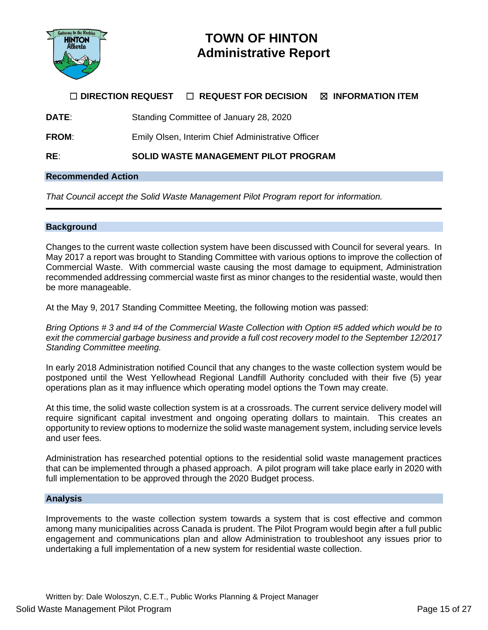

# **TOWN OF HINTON Administrative Report**

# ☐ **DIRECTION REQUEST** ☐ **REQUEST FOR DECISION** ☒ **INFORMATION ITEM**

**DATE:** Standing Committee of January 28, 2020

**FROM**: Emily Olsen, Interim Chief Administrative Officer

**RE**: **SOLID WASTE MANAGEMENT PILOT PROGRAM**

#### **Recommended Action**

*That Council accept the Solid Waste Management Pilot Program report for information.*

#### **Background**

Changes to the current waste collection system have been discussed with Council for several years. In May 2017 a report was brought to Standing Committee with various options to improve the collection of Commercial Waste. With commercial waste causing the most damage to equipment, Administration recommended addressing commercial waste first as minor changes to the residential waste, would then be more manageable.

At the May 9, 2017 Standing Committee Meeting, the following motion was passed:

*Bring Options # 3 and #4 of the Commercial Waste Collection with Option #5 added which would be to exit the commercial garbage business and provide a full cost recovery model to the September 12/2017 Standing Committee meeting.*

In early 2018 Administration notified Council that any changes to the waste collection system would be postponed until the West Yellowhead Regional Landfill Authority concluded with their five (5) year operations plan as it may influence which operating model options the Town may create.

At this time, the solid waste collection system is at a crossroads. The current service delivery model will require significant capital investment and ongoing operating dollars to maintain. This creates an opportunity to review options to modernize the solid waste management system, including service levels and user fees.

Administration has researched potential options to the residential solid waste management practices that can be implemented through a phased approach. A pilot program will take place early in 2020 with full implementation to be approved through the 2020 Budget process.

#### **Analysis**

Improvements to the waste collection system towards a system that is cost effective and common among many municipalities across Canada is prudent. The Pilot Program would begin after a full public engagement and communications plan and allow Administration to troubleshoot any issues prior to undertaking a full implementation of a new system for residential waste collection.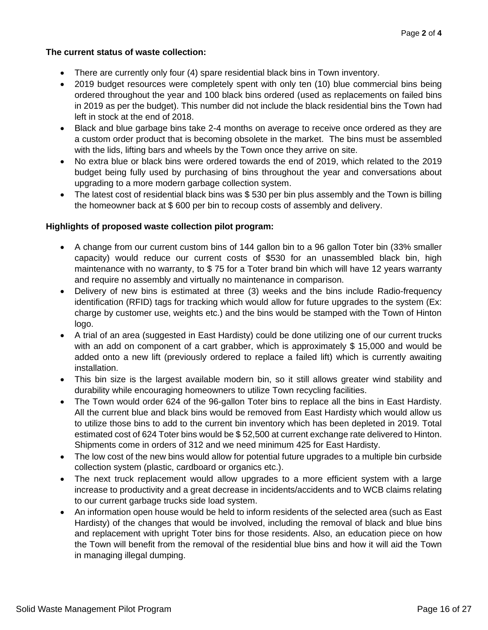# **The current status of waste collection:**

- There are currently only four (4) spare residential black bins in Town inventory.
- 2019 budget resources were completely spent with only ten (10) blue commercial bins being ordered throughout the year and 100 black bins ordered (used as replacements on failed bins in 2019 as per the budget). This number did not include the black residential bins the Town had left in stock at the end of 2018.
- Black and blue garbage bins take 2-4 months on average to receive once ordered as they are a custom order product that is becoming obsolete in the market. The bins must be assembled with the lids, lifting bars and wheels by the Town once they arrive on site.
- No extra blue or black bins were ordered towards the end of 2019, which related to the 2019 budget being fully used by purchasing of bins throughout the year and conversations about upgrading to a more modern garbage collection system.
- The latest cost of residential black bins was \$530 per bin plus assembly and the Town is billing the homeowner back at \$ 600 per bin to recoup costs of assembly and delivery.

### **Highlights of proposed waste collection pilot program:**

- A change from our current custom bins of 144 gallon bin to a 96 gallon Toter bin (33% smaller capacity) would reduce our current costs of \$530 for an unassembled black bin, high maintenance with no warranty, to \$ 75 for a Toter brand bin which will have 12 years warranty and require no assembly and virtually no maintenance in comparison.
- Delivery of new bins is estimated at three (3) weeks and the bins include Radio-frequency identification (RFID) tags for tracking which would allow for future upgrades to the system (Ex: charge by customer use, weights etc.) and the bins would be stamped with the Town of Hinton logo.
- A trial of an area (suggested in East Hardisty) could be done utilizing one of our current trucks with an add on component of a cart grabber, which is approximately \$15,000 and would be added onto a new lift (previously ordered to replace a failed lift) which is currently awaiting installation.
- This bin size is the largest available modern bin, so it still allows greater wind stability and durability while encouraging homeowners to utilize Town recycling facilities.
- The Town would order 624 of the 96-gallon Toter bins to replace all the bins in East Hardisty. All the current blue and black bins would be removed from East Hardisty which would allow us to utilize those bins to add to the current bin inventory which has been depleted in 2019. Total estimated cost of 624 Toter bins would be \$ 52,500 at current exchange rate delivered to Hinton. Shipments come in orders of 312 and we need minimum 425 for East Hardisty.
- The low cost of the new bins would allow for potential future upgrades to a multiple bin curbside collection system (plastic, cardboard or organics etc.).
- The next truck replacement would allow upgrades to a more efficient system with a large increase to productivity and a great decrease in incidents/accidents and to WCB claims relating to our current garbage trucks side load system.
- An information open house would be held to inform residents of the selected area (such as East Hardisty) of the changes that would be involved, including the removal of black and blue bins and replacement with upright Toter bins for those residents. Also, an education piece on how the Town will benefit from the removal of the residential blue bins and how it will aid the Town in managing illegal dumping.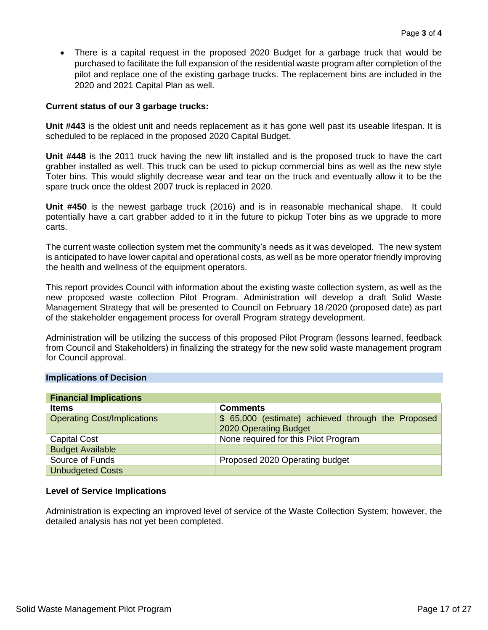• There is a capital request in the proposed 2020 Budget for a garbage truck that would be purchased to facilitate the full expansion of the residential waste program after completion of the pilot and replace one of the existing garbage trucks. The replacement bins are included in the 2020 and 2021 Capital Plan as well.

### **Current status of our 3 garbage trucks:**

**Unit #443** is the oldest unit and needs replacement as it has gone well past its useable lifespan. It is scheduled to be replaced in the proposed 2020 Capital Budget.

**Unit #448** is the 2011 truck having the new lift installed and is the proposed truck to have the cart grabber installed as well. This truck can be used to pickup commercial bins as well as the new style Toter bins. This would slightly decrease wear and tear on the truck and eventually allow it to be the spare truck once the oldest 2007 truck is replaced in 2020.

**Unit #450** is the newest garbage truck (2016) and is in reasonable mechanical shape. It could potentially have a cart grabber added to it in the future to pickup Toter bins as we upgrade to more carts.

The current waste collection system met the community's needs as it was developed. The new system is anticipated to have lower capital and operational costs, as well as be more operator friendly improving the health and wellness of the equipment operators.

This report provides Council with information about the existing waste collection system, as well as the new proposed waste collection Pilot Program. Administration will develop a draft Solid Waste Management Strategy that will be presented to Council on February 18 /2020 (proposed date) as part of the stakeholder engagement process for overall Program strategy development.

Administration will be utilizing the success of this proposed Pilot Program (lessons learned, feedback from Council and Stakeholders) in finalizing the strategy for the new solid waste management program for Council approval.

#### **Implications of Decision**

| <b>Financial Implications</b>      |                                                                             |
|------------------------------------|-----------------------------------------------------------------------------|
| <b>Items</b>                       | <b>Comments</b>                                                             |
| <b>Operating Cost/Implications</b> | \$ 65,000 (estimate) achieved through the Proposed<br>2020 Operating Budget |
| <b>Capital Cost</b>                | None required for this Pilot Program                                        |
| <b>Budget Available</b>            |                                                                             |
| Source of Funds                    | Proposed 2020 Operating budget                                              |
| <b>Unbudgeted Costs</b>            |                                                                             |

# **Level of Service Implications**

Administration is expecting an improved level of service of the Waste Collection System; however, the detailed analysis has not yet been completed.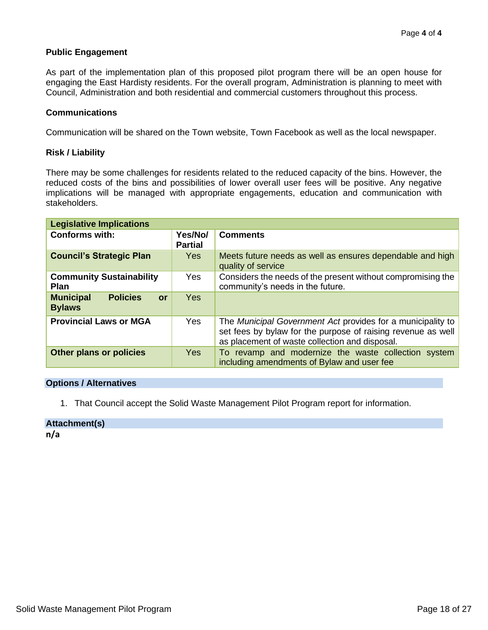### **Public Engagement**

As part of the implementation plan of this proposed pilot program there will be an open house for engaging the East Hardisty residents. For the overall program, Administration is planning to meet with Council, Administration and both residential and commercial customers throughout this process.

#### **Communications**

Communication will be shared on the Town website, Town Facebook as well as the local newspaper.

#### **Risk / Liability**

There may be some challenges for residents related to the reduced capacity of the bins. However, the reduced costs of the bins and possibilities of lower overall user fees will be positive. Any negative implications will be managed with appropriate engagements, education and communication with stakeholders.

| <b>Legislative Implications</b>                            |                           |                                                                                                                                                                               |
|------------------------------------------------------------|---------------------------|-------------------------------------------------------------------------------------------------------------------------------------------------------------------------------|
| <b>Conforms with:</b>                                      | Yes/No/<br><b>Partial</b> | <b>Comments</b>                                                                                                                                                               |
| <b>Council's Strategic Plan</b>                            | <b>Yes</b>                | Meets future needs as well as ensures dependable and high<br>quality of service                                                                                               |
| <b>Community Sustainability</b><br><b>Plan</b>             | Yes                       | Considers the needs of the present without compromising the<br>community's needs in the future.                                                                               |
| <b>Policies</b><br><b>Municipal</b><br>or<br><b>Bylaws</b> | Yes                       |                                                                                                                                                                               |
| <b>Provincial Laws or MGA</b>                              | Yes                       | The Municipal Government Act provides for a municipality to<br>set fees by bylaw for the purpose of raising revenue as well<br>as placement of waste collection and disposal. |
| <b>Other plans or policies</b>                             | <b>Yes</b>                | To revamp and modernize the waste collection system<br>including amendments of Bylaw and user fee                                                                             |

#### **Options / Alternatives**

1. That Council accept the Solid Waste Management Pilot Program report for information.

#### **Attachment(s)**

**n/a**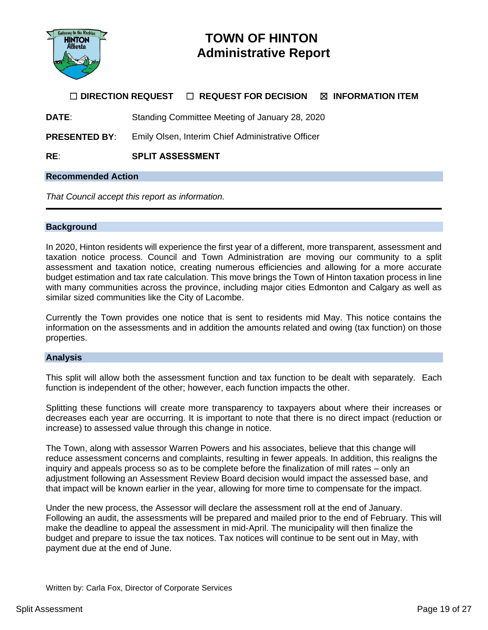

# **TOWN OF HINTON Administrative Report**

# ☐ **DIRECTION REQUEST** ☐ **REQUEST FOR DECISION** ☒ **INFORMATION ITEM**

**DATE**: Standing Committee Meeting of January 28, 2020

**PRESENTED BY**: Emily Olsen, Interim Chief Administrative Officer

**RE**: **SPLIT ASSESSMENT**

#### **Recommended Action**

*That Council accept this report as information.*

#### **Background**

In 2020, Hinton residents will experience the first year of a different, more transparent, assessment and taxation notice process. Council and Town Administration are moving our community to a split assessment and taxation notice, creating numerous efficiencies and allowing for a more accurate budget estimation and tax rate calculation. This move brings the Town of Hinton taxation process in line with many communities across the province, including major cities Edmonton and Calgary as well as similar sized communities like the City of Lacombe.

Currently the Town provides one notice that is sent to residents mid May. This notice contains the information on the assessments and in addition the amounts related and owing (tax function) on those properties.

#### **Analysis**

This split will allow both the assessment function and tax function to be dealt with separately. Each function is independent of the other; however, each function impacts the other.

Splitting these functions will create more transparency to taxpayers about where their increases or decreases each year are occurring. It is important to note that there is no direct impact (reduction or increase) to assessed value through this change in notice.

The Town, along with assessor Warren Powers and his associates, believe that this change will reduce assessment concerns and complaints, resulting in fewer appeals. In addition, this realigns the inquiry and appeals process so as to be complete before the finalization of mill rates – only an adjustment following an Assessment Review Board decision would impact the assessed base, and that impact will be known earlier in the year, allowing for more time to compensate for the impact.

Under the new process, the Assessor will declare the assessment roll at the end of January. Following an audit, the assessments will be prepared and mailed prior to the end of February. This will make the deadline to appeal the assessment in mid-April. The municipality will then finalize the budget and prepare to issue the tax notices. Tax notices will continue to be sent out in May, with payment due at the end of June.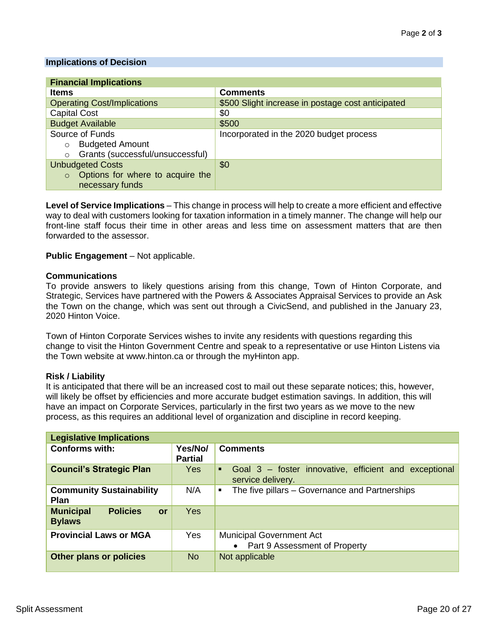### **Implications of Decision**

| <b>Financial Implications</b>               |                                                   |
|---------------------------------------------|---------------------------------------------------|
| <b>Items</b>                                | <b>Comments</b>                                   |
| <b>Operating Cost/Implications</b>          | \$500 Slight increase in postage cost anticipated |
| <b>Capital Cost</b>                         | \$0                                               |
| <b>Budget Available</b>                     | \$500                                             |
| Source of Funds                             | Incorporated in the 2020 budget process           |
| <b>Budgeted Amount</b><br>$\circ$           |                                                   |
| Grants (successful/unsuccessful)<br>$\circ$ |                                                   |
| <b>Unbudgeted Costs</b>                     | \$0                                               |
| Options for where to acquire the<br>$\circ$ |                                                   |
| necessary funds                             |                                                   |

**Level of Service Implications** – This change in process will help to create a more efficient and effective way to deal with customers looking for taxation information in a timely manner. The change will help our front-line staff focus their time in other areas and less time on assessment matters that are then forwarded to the assessor.

### **Public Engagement** – Not applicable.

#### **Communications**

To provide answers to likely questions arising from this change, Town of Hinton Corporate, and Strategic, Services have partnered with the Powers & Associates Appraisal Services to provide an Ask the Town on the change, which was sent out through a CivicSend, and published in the January 23, 2020 Hinton Voice.

Town of Hinton Corporate Services wishes to invite any residents with questions regarding this change to visit the Hinton Government Centre and speak to a representative or use Hinton Listens via the Town website at www.hinton.ca or through the myHinton app.

#### **Risk / Liability**

It is anticipated that there will be an increased cost to mail out these separate notices; this, however, will likely be offset by efficiencies and more accurate budget estimation savings. In addition, this will have an impact on Corporate Services, particularly in the first two years as we move to the new process, as this requires an additional level of organization and discipline in record keeping.

| <b>Legislative Implications</b>                                   |                           |                                                                                 |
|-------------------------------------------------------------------|---------------------------|---------------------------------------------------------------------------------|
| <b>Conforms with:</b>                                             | Yes/No/<br><b>Partial</b> | <b>Comments</b>                                                                 |
| <b>Council's Strategic Plan</b>                                   | <b>Yes</b>                | Goal 3 – foster innovative, efficient and exceptional<br>٠<br>service delivery. |
| <b>Community Sustainability</b><br><b>Plan</b>                    | N/A                       | The five pillars - Governance and Partnerships<br>$\blacksquare$                |
| <b>Policies</b><br><b>Municipal</b><br><b>or</b><br><b>Bylaws</b> | Yes                       |                                                                                 |
| <b>Provincial Laws or MGA</b>                                     | <b>Yes</b>                | <b>Municipal Government Act</b><br>• Part 9 Assessment of Property              |
| Other plans or policies                                           | No.                       | Not applicable                                                                  |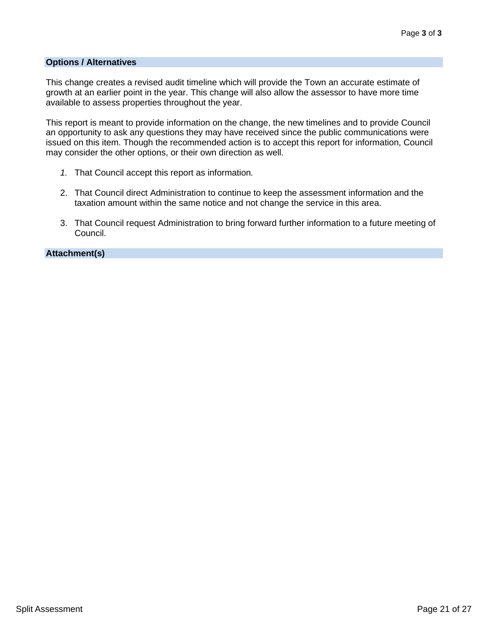### **Options / Alternatives**

This change creates a revised audit timeline which will provide the Town an accurate estimate of growth at an earlier point in the year. This change will also allow the assessor to have more time available to assess properties throughout the year.

This report is meant to provide information on the change, the new timelines and to provide Council an opportunity to ask any questions they may have received since the public communications were issued on this item. Though the recommended action is to accept this report for information, Council may consider the other options, or their own direction as well.

- *1.* That Council accept this report as information*.*
- 2. That Council direct Administration to continue to keep the assessment information and the taxation amount within the same notice and not change the service in this area.
- 3. That Council request Administration to bring forward further information to a future meeting of Council.

**Attachment(s)**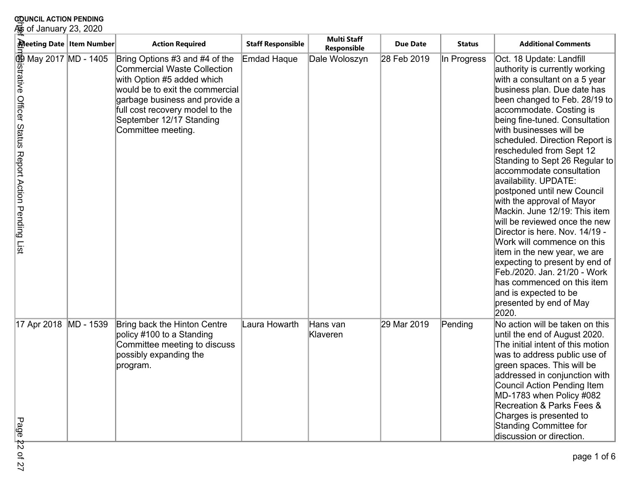| <b>20UNCIL ACTION PENDING</b><br>‰ of January 23, 2020 |                        |                                                                                                                                                                                                                                                                                                                                                                                                                        |                                   |                                       |               |                                                                                                                                                                                                                                                                                                                                                                                                                                                                                                                                                                                                                                                                                                                                                                                                      |
|--------------------------------------------------------|------------------------|------------------------------------------------------------------------------------------------------------------------------------------------------------------------------------------------------------------------------------------------------------------------------------------------------------------------------------------------------------------------------------------------------------------------|-----------------------------------|---------------------------------------|---------------|------------------------------------------------------------------------------------------------------------------------------------------------------------------------------------------------------------------------------------------------------------------------------------------------------------------------------------------------------------------------------------------------------------------------------------------------------------------------------------------------------------------------------------------------------------------------------------------------------------------------------------------------------------------------------------------------------------------------------------------------------------------------------------------------------|
|                                                        | <b>Action Required</b> | <b>Staff Responsible</b>                                                                                                                                                                                                                                                                                                                                                                                               | <b>Multi Staff</b><br>Responsible | <b>Due Date</b>                       | <b>Status</b> | <b>Additional Comments</b>                                                                                                                                                                                                                                                                                                                                                                                                                                                                                                                                                                                                                                                                                                                                                                           |
|                                                        |                        |                                                                                                                                                                                                                                                                                                                                                                                                                        |                                   | 28 Feb 2019                           | In Progress   | Oct. 18 Update: Landfill<br>authority is currently working<br>with a consultant on a 5 year<br>business plan. Due date has<br>been changed to Feb. 28/19 to<br>accommodate. Costing is<br>being fine-tuned. Consultation<br>with businesses will be<br>scheduled. Direction Report is<br>rescheduled from Sept 12<br>Standing to Sept 26 Regular to<br>accommodate consultation<br>availability. UPDATE:<br>postponed until new Council<br>with the approval of Mayor<br>Mackin. June 12/19: This item<br>will be reviewed once the new<br>Director is here. Nov. 14/19 -<br>Work will commence on this<br>item in the new year, we are<br>expecting to present by end of<br>Feb./2020. Jan. 21/20 - Work<br>has commenced on this item<br>and is expected to be<br>presented by end of May<br>2020. |
|                                                        |                        |                                                                                                                                                                                                                                                                                                                                                                                                                        |                                   |                                       |               | No action will be taken on this<br>until the end of August 2020.<br>The initial intent of this motion<br>was to address public use of<br>green spaces. This will be<br>addressed in conjunction with<br>Council Action Pending Item<br>MD-1783 when Policy #082<br>Recreation & Parks Fees &<br>Charges is presented to                                                                                                                                                                                                                                                                                                                                                                                                                                                                              |
|                                                        | MD - 1539              | Meeting Date   Item Number<br>Bring Options #3 and #4 of the<br>Commercial Waste Collection<br>with Option #5 added which<br>would be to exit the commercial<br>garbage business and provide a<br>full cost recovery model to the<br>September 12/17 Standing<br>Committee meeting.<br>Bring back the Hinton Centre<br>policy #100 to a Standing<br>Committee meeting to discuss<br>possibly expanding the<br>program. | Emdad Haque<br>Laura Howarth      | Dale Woloszyn<br>Hans van<br>Klaveren | 29 Mar 2019   | Pending                                                                                                                                                                                                                                                                                                                                                                                                                                                                                                                                                                                                                                                                                                                                                                                              |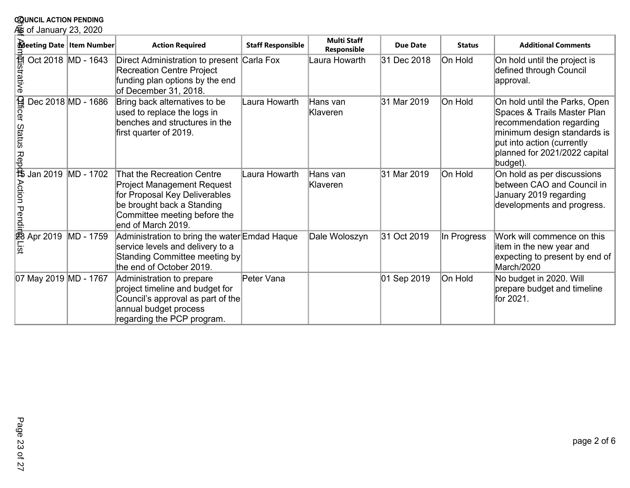|                                          | <b>COUNCIL ACTION PENDING</b> |                      |                                                                                                                                                                               |                          |                                   |                 |               |                                                                                                                                                                                                    |  |
|------------------------------------------|-------------------------------|----------------------|-------------------------------------------------------------------------------------------------------------------------------------------------------------------------------|--------------------------|-----------------------------------|-----------------|---------------|----------------------------------------------------------------------------------------------------------------------------------------------------------------------------------------------------|--|
|                                          | க் of January 23, 2020        |                      |                                                                                                                                                                               |                          |                                   |                 |               |                                                                                                                                                                                                    |  |
|                                          | Meeting Date   Item Number    |                      | <b>Action Required</b>                                                                                                                                                        | <b>Staff Responsible</b> | <b>Multi Staff</b><br>Responsible | <b>Due Date</b> | <b>Status</b> | <b>Additional Comments</b>                                                                                                                                                                         |  |
|                                          | <b>Alistrative</b>            | Oct 2018   MD - 1643 | Direct Administration to present Carla Fox<br><b>Recreation Centre Project</b><br>funding plan options by the end<br>of December 31, 2018.                                    |                          | Laura Howarth                     | 31 Dec 2018     | On Hold       | On hold until the project is<br>defined through Council<br>approval.                                                                                                                               |  |
| Qfficer Status Repb\$ Action Pendin&List |                               | Dec 2018 MD - 1686   | Bring back alternatives to be<br>used to replace the logs in<br>benches and structures in the<br>first quarter of 2019.                                                       | Laura Howarth            | Hans van<br>Klaveren              | 31 Mar 2019     | On Hold       | On hold until the Parks, Open<br>Spaces & Trails Master Plan<br>recommendation regarding<br>minimum design standards is<br>put into action (currently<br>planned for 2021/2022 capital<br>budget). |  |
|                                          | Jan 2019                      | MD - 1702            | That the Recreation Centre<br>Project Management Request<br>for Proposal Key Deliverables<br>be brought back a Standing<br>Committee meeting before the<br>end of March 2019. | Laura Howarth            | Hans van<br>Klaveren              | 31 Mar 2019     | On Hold       | On hold as per discussions<br>between CAO and Council in<br>January 2019 regarding<br>developments and progress.                                                                                   |  |
|                                          | Apr 2019                      | MD - 1759            | Administration to bring the water Emdad Haque<br>service levels and delivery to a<br>Standing Committee meeting by<br>the end of October 2019.                                |                          | Dale Woloszyn                     | 31 Oct 2019     | In Progress   | Work will commence on this<br>item in the new year and<br>expecting to present by end of<br>March/2020                                                                                             |  |
|                                          | 07 May 2019 MD - 1767         |                      | Administration to prepare<br>project timeline and budget for<br>Council's approval as part of the<br>annual budget process<br>regarding the PCP program.                      | Peter Vana               |                                   | 01 Sep 2019     | On Hold       | No budget in 2020. Will<br>prepare budget and timeline<br>for 2021.                                                                                                                                |  |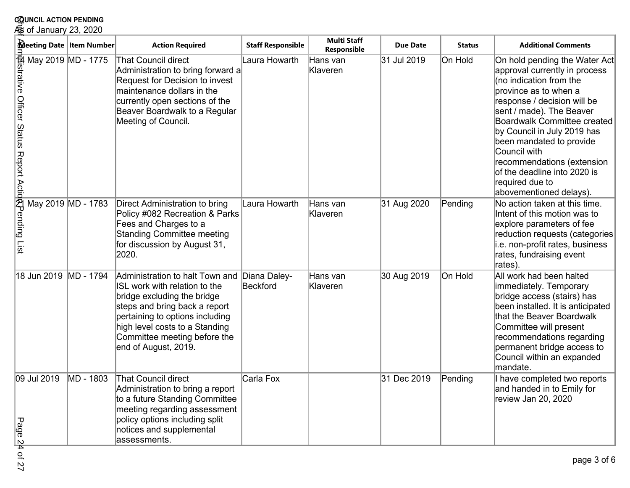| Meeting Date   Item Number                                                                                           |           | <b>Action Required</b>                                                                                                                                                                                                                                        | <b>Staff Responsible</b> | <b>Multi Staff</b><br>Responsible | <b>Due Date</b> | <b>Status</b> | <b>Additional Comments</b>                                                                                                                                                                                                                                                                                                                                                                                 |
|----------------------------------------------------------------------------------------------------------------------|-----------|---------------------------------------------------------------------------------------------------------------------------------------------------------------------------------------------------------------------------------------------------------------|--------------------------|-----------------------------------|-----------------|---------------|------------------------------------------------------------------------------------------------------------------------------------------------------------------------------------------------------------------------------------------------------------------------------------------------------------------------------------------------------------------------------------------------------------|
| May 2019<br>May 2019 MD - 1775<br>The May 2019 MD - 1775<br>Official May 2019<br>MD - 1783<br>The May 2019 MD - 1783 |           | <b>That Council direct</b><br>Administration to bring forward a<br>Request for Decision to invest<br>maintenance dollars in the<br>currently open sections of the<br>Beaver Boardwalk to a Regular<br>Meeting of Council.                                     | Laura Howarth            | Hans van<br>Klaveren              | 31 Jul 2019     | On Hold       | On hold pending the Water Act<br>approval currently in process<br>(no indication from the<br>province as to when a<br>response / decision will be<br>sent / made). The Beaver<br><b>Boardwalk Committee created</b><br>by Council in July 2019 has<br>been mandated to provide<br>Council with<br>recommendations (extension<br>of the deadline into 2020 is<br>required due to<br>abovementioned delays). |
|                                                                                                                      |           | Direct Administration to bring<br>Policy #082 Recreation & Parks<br>Fees and Charges to a<br><b>Standing Committee meeting</b><br>for discussion by August 31,<br>2020.                                                                                       | Laura Howarth            | Hans van<br>Klaveren              | 31 Aug 2020     | Pending       | No action taken at this time.<br>Intent of this motion was to<br>explore parameters of fee<br>reduction requests (categories<br>i.e. non-profit rates, business<br>rates, fundraising event<br>rates).                                                                                                                                                                                                     |
| 18 Jun 2019                                                                                                          | MD - 1794 | Administration to halt Town and<br>ISL work with relation to the<br>bridge excluding the bridge<br>steps and bring back a report<br>pertaining to options including<br>high level costs to a Standing<br>Committee meeting before the<br>end of August, 2019. | Diana Daley-<br>Beckford | Hans van<br>Klaveren              | 30 Aug 2019     | On Hold       | All work had been halted<br>immediately. Temporary<br>bridge access (stairs) has<br>been installed. It is anticipated<br>that the Beaver Boardwalk<br>Committee will present<br>recommendations regarding<br>permanent bridge access to<br>Council within an expanded<br>mandate.                                                                                                                          |
| 09 Jul 2019<br>Page<br><u>4</u> of 27                                                                                | MD - 1803 | <b>That Council direct</b><br>Administration to bring a report<br>to a future Standing Committee<br>meeting regarding assessment<br>policy options including split<br>notices and supplemental<br>assessments.                                                | Carla Fox                |                                   | 31 Dec 2019     | Pending       | I have completed two reports<br>and handed in to Emily for<br>review Jan 20, 2020                                                                                                                                                                                                                                                                                                                          |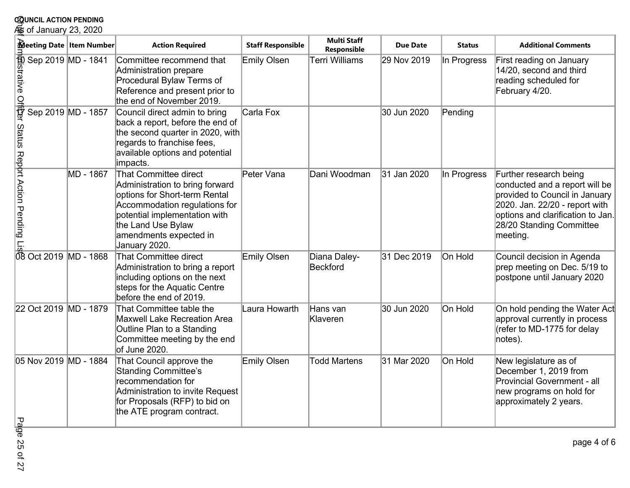| <b>COUNCIL ACTION PENDING</b><br>⁄ெை of January 23, 2020                                                                                                                    |                                                                                                                                                                                                                              |                          |                                   |                 |               |                                                                                                                                                                                                           |
|-----------------------------------------------------------------------------------------------------------------------------------------------------------------------------|------------------------------------------------------------------------------------------------------------------------------------------------------------------------------------------------------------------------------|--------------------------|-----------------------------------|-----------------|---------------|-----------------------------------------------------------------------------------------------------------------------------------------------------------------------------------------------------------|
| Meeting Date   Item Number                                                                                                                                                  | <b>Action Required</b>                                                                                                                                                                                                       | <b>Staff Responsible</b> | <b>Multi Staff</b><br>Responsible | <b>Due Date</b> | <b>Status</b> | <b>Additional Comments</b>                                                                                                                                                                                |
|                                                                                                                                                                             | Committee recommend that<br>Administration prepare<br>Procedural Bylaw Terms of<br>Reference and present prior to<br>the end of November 2019.                                                                               | Emily Olsen              | <b>Terri Williams</b>             | 29 Nov 2019     | In Progress   | First reading on January<br>14/20, second and third<br>reading scheduled for<br>February 4/20.                                                                                                            |
|                                                                                                                                                                             | Council direct admin to bring<br>back a report, before the end of<br>the second quarter in 2020, with<br>regards to franchise fees,<br>available options and potential<br>impacts.                                           | Carla Fox                |                                   | 30 Jun 2020     | Pending       |                                                                                                                                                                                                           |
| $\frac{m}{2}$<br>Sep 2019 MD - 1841<br>Sep 2019 MD - 1857<br>Sep 2019 MD - 1857<br>Sep 2019 MD - 1867<br>MD - 1867<br>Sep 2019 MD - 1867<br>MD - 1867<br>Sep 2019 MD - 1867 | That Committee direct<br>Administration to bring forward<br>options for Short-term Rental<br>Accommodation regulations for<br>potential implementation with<br>the Land Use Bylaw<br>amendments expected in<br>January 2020. | Peter Vana               | Dani Woodman                      | 31 Jan 2020     | In Progress   | Further research being<br>conducted and a report will be<br>provided to Council in January<br>2020. Jan. 22/20 - report with<br>options and clarification to Jan.<br>28/20 Standing Committee<br>meeting. |
|                                                                                                                                                                             | That Committee direct<br>Administration to bring a report<br>including options on the next<br>steps for the Aquatic Centre<br>before the end of 2019.                                                                        | Emily Olsen              | Diana Daley-<br>Beckford          | 31 Dec 2019     | On Hold       | Council decision in Agenda<br>prep meeting on Dec. 5/19 to<br>postpone until January 2020                                                                                                                 |
| 22 Oct 2019   MD - 1879                                                                                                                                                     | That Committee table the<br><b>Maxwell Lake Recreation Area</b><br>Outline Plan to a Standing<br>Committee meeting by the end<br>of June 2020.                                                                               | Laura Howarth            | Hans van<br>Klaveren              | 30 Jun 2020     | On Hold       | On hold pending the Water Act<br>approval currently in process<br>(refer to MD-1775 for delay<br>notes).                                                                                                  |
| 05 Nov 2019 MD - 1884<br><del>ت</del> و                                                                                                                                     | That Council approve the<br><b>Standing Committee's</b><br>recommendation for<br>Administration to invite Request<br>for Proposals (RFP) to bid on<br>the ATE program contract.                                              | Emily Olsen              | <b>Todd Martens</b>               | 31 Mar 2020     | On Hold       | New legislature as of<br>December 1, 2019 from<br>Provincial Government - all<br>new programs on hold for<br>approximately 2 years.                                                                       |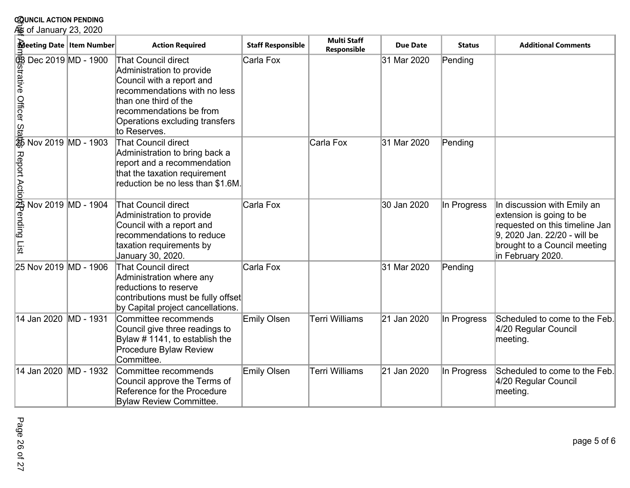|             | <b>COUNCIL ACTION PENDING</b><br>⁄So of January 23, 2020                                                                                                                                                           |                                                                                                                                                                                                                            |                          |                                   |                 |               |                                                                                                                                                                                |  |
|-------------|--------------------------------------------------------------------------------------------------------------------------------------------------------------------------------------------------------------------|----------------------------------------------------------------------------------------------------------------------------------------------------------------------------------------------------------------------------|--------------------------|-----------------------------------|-----------------|---------------|--------------------------------------------------------------------------------------------------------------------------------------------------------------------------------|--|
|             | Meeting Date   Item Number                                                                                                                                                                                         | <b>Action Required</b>                                                                                                                                                                                                     | <b>Staff Responsible</b> | <b>Multi Staff</b><br>Responsible | <b>Due Date</b> | <b>Status</b> | <b>Additional Comments</b>                                                                                                                                                     |  |
|             | $\frac{1}{3}$<br>$\frac{1}{3}$ Dec 2019 MD - 1900<br>$\frac{1}{3}$ Dec 2019 MD - 1900<br>$\frac{1}{3}$ Dec 2019 MD - 1903<br>$\frac{1}{3}$ Mov 2019 MD - 1903<br>$\frac{1}{3}$ Nov 2019 MD - 1904<br>$\frac{1}{3}$ | <b>That Council direct</b><br>Administration to provide<br>Council with a report and<br>recommendations with no less<br>than one third of the<br>recommendations be from<br>Operations excluding transfers<br>to Reserves. | Carla Fox                |                                   | 31 Mar 2020     | Pending       |                                                                                                                                                                                |  |
|             |                                                                                                                                                                                                                    | <b>That Council direct</b><br>Administration to bring back a<br>report and a recommendation<br>that the taxation requirement<br>reduction be no less than \$1.6M.                                                          |                          | Carla Fox                         | 31 Mar 2020     | Pending       |                                                                                                                                                                                |  |
|             |                                                                                                                                                                                                                    | <b>That Council direct</b><br>Administration to provide<br>Council with a report and<br>recommendations to reduce<br>taxation requirements by<br>January 30, 2020.                                                         | Carla Fox                |                                   | 30 Jan 2020     | In Progress   | In discussion with Emily an<br>extension is going to be<br>requested on this timeline Jan<br>9, 2020 Jan. 22/20 - will be<br>brought to a Council meeting<br>in February 2020. |  |
|             | 25 Nov 2019 MD - 1906                                                                                                                                                                                              | <b>That Council direct</b><br>Administration where any<br>reductions to reserve<br>contributions must be fully offset<br>by Capital project cancellations.                                                                 | Carla Fox                |                                   | 31 Mar 2020     | Pending       |                                                                                                                                                                                |  |
| 14 Jan 2020 | MD - 1931                                                                                                                                                                                                          | Committee recommends<br>Council give three readings to<br>Bylaw #1141, to establish the<br>Procedure Bylaw Review<br>Committee.                                                                                            | Emily Olsen              | <b>Terri Williams</b>             | 21 Jan 2020     | In Progress   | Scheduled to come to the Feb.<br>4/20 Regular Council<br>meeting.                                                                                                              |  |
| 14 Jan 2020 | MD - 1932                                                                                                                                                                                                          | Committee recommends<br>Council approve the Terms of<br>Reference for the Procedure<br><b>Bylaw Review Committee.</b>                                                                                                      | Emily Olsen              | <b>Terri Williams</b>             | 21 Jan 2020     | In Progress   | Scheduled to come to the Feb.<br>4/20 Regular Council<br>meeting.                                                                                                              |  |